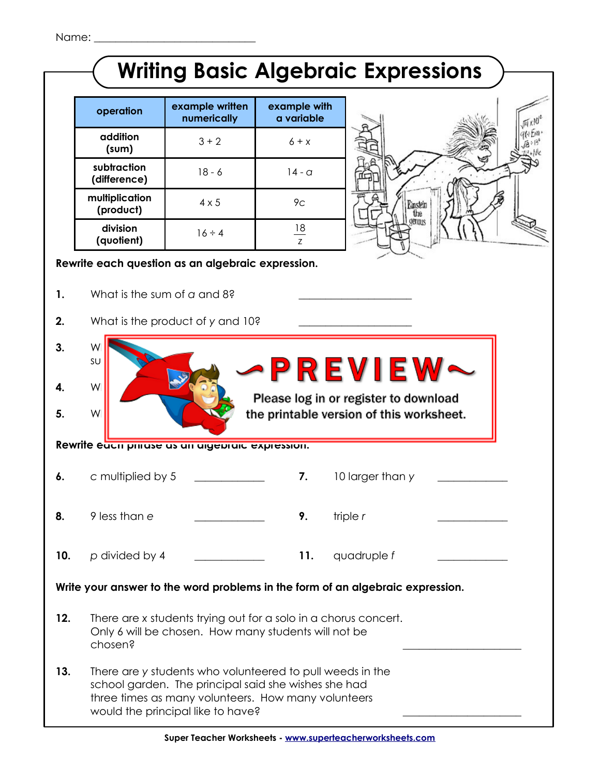|                                                                                |                                                                                                                                                                                                               |                                            |                            | <b>Writing Basic Algebraic Expressions</b> |  |  |  |
|--------------------------------------------------------------------------------|---------------------------------------------------------------------------------------------------------------------------------------------------------------------------------------------------------------|--------------------------------------------|----------------------------|--------------------------------------------|--|--|--|
|                                                                                | operation                                                                                                                                                                                                     | example written<br>numerically             | example with<br>a variable |                                            |  |  |  |
|                                                                                | addition<br>(sum)                                                                                                                                                                                             | $3 + 2$                                    | $6 + x$                    |                                            |  |  |  |
|                                                                                | subtraction<br>(difference)                                                                                                                                                                                   | $18 - 6$                                   | $14 - a$                   |                                            |  |  |  |
|                                                                                | multiplication<br>(product)                                                                                                                                                                                   | $4 \times 5$                               | 9 <sub>C</sub>             | Einstein<br>the                            |  |  |  |
|                                                                                | division<br>(quotient)                                                                                                                                                                                        | $16 \div 4$                                | 18<br>Z                    | dennis                                     |  |  |  |
| Rewrite each question as an algebraic expression.                              |                                                                                                                                                                                                               |                                            |                            |                                            |  |  |  |
| 1.                                                                             | What is the sum of a and 8?                                                                                                                                                                                   |                                            |                            |                                            |  |  |  |
| 2.                                                                             |                                                                                                                                                                                                               | What is the product of y and 10?           |                            |                                            |  |  |  |
| 3.                                                                             | W<br>SU                                                                                                                                                                                                       | <b>•PREVIEW</b>                            |                            |                                            |  |  |  |
| 4.                                                                             |                                                                                                                                                                                                               | W<br>Please log in or register to download |                            |                                            |  |  |  |
| 5.                                                                             | W<br>the printable version of this worksheet.<br>Rewrite eacn pnrase as an aigepraic expression.                                                                                                              |                                            |                            |                                            |  |  |  |
|                                                                                |                                                                                                                                                                                                               |                                            |                            |                                            |  |  |  |
| 6.                                                                             | c multiplied by 5                                                                                                                                                                                             |                                            | 7.                         | 10 larger than y                           |  |  |  |
| 8.                                                                             | 9 less than e                                                                                                                                                                                                 |                                            | 9.                         | triple $r$                                 |  |  |  |
| 10.                                                                            | p divided by 4                                                                                                                                                                                                |                                            | 11.                        | quadruple f                                |  |  |  |
| Write your answer to the word problems in the form of an algebraic expression. |                                                                                                                                                                                                               |                                            |                            |                                            |  |  |  |
| 12.                                                                            | There are x students trying out for a solo in a chorus concert.<br>Only 6 will be chosen. How many students will not be<br>chosen?                                                                            |                                            |                            |                                            |  |  |  |
| 13.                                                                            | There are y students who volunteered to pull weeds in the<br>school garden. The principal said she wishes she had<br>three times as many volunteers. How many volunteers<br>would the principal like to have? |                                            |                            |                                            |  |  |  |